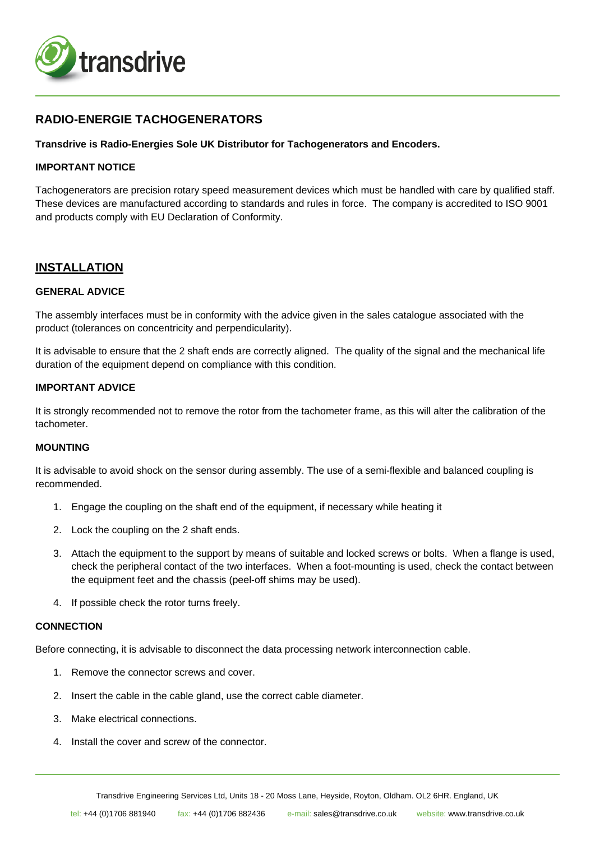

# **RADIO-ENERGIE TACHOGENERATORS**

### **Transdrive is Radio-Energies Sole UK Distributor for Tachogenerators and Encoders.**

### **IMPORTANT NOTICE**

Tachogenerators are precision rotary speed measurement devices which must be handled with care by qualified staff. These devices are manufactured according to standards and rules in force. The company is accredited to ISO 9001 and products comply with EU Declaration of Conformity.

## **INSTALLATION**

### **GENERAL ADVICE**

The assembly interfaces must be in conformity with the advice given in the sales catalogue associated with the product (tolerances on concentricity and perpendicularity).

It is advisable to ensure that the 2 shaft ends are correctly aligned. The quality of the signal and the mechanical life duration of the equipment depend on compliance with this condition.

### **IMPORTANT ADVICE**

It is strongly recommended not to remove the rotor from the tachometer frame, as this will alter the calibration of the tachometer.

### **MOUNTING**

It is advisable to avoid shock on the sensor during assembly. The use of a semi-flexible and balanced coupling is recommended.

- 1. Engage the coupling on the shaft end of the equipment, if necessary while heating it
- 2. Lock the coupling on the 2 shaft ends.
- 3. Attach the equipment to the support by means of suitable and locked screws or bolts. When a flange is used, check the peripheral contact of the two interfaces. When a foot-mounting is used, check the contact between the equipment feet and the chassis (peel-off shims may be used).
- 4. If possible check the rotor turns freely.

#### **CONNECTION**

Before connecting, it is advisable to disconnect the data processing network interconnection cable.

- 1. Remove the connector screws and cover.
- 2. Insert the cable in the cable gland, use the correct cable diameter.
- 3. Make electrical connections.
- 4. Install the cover and screw of the connector.

Transdrive Engineering Services Ltd, Units 18 - 20 Moss Lane, Heyside, Royton, Oldham. OL2 6HR. England, UK